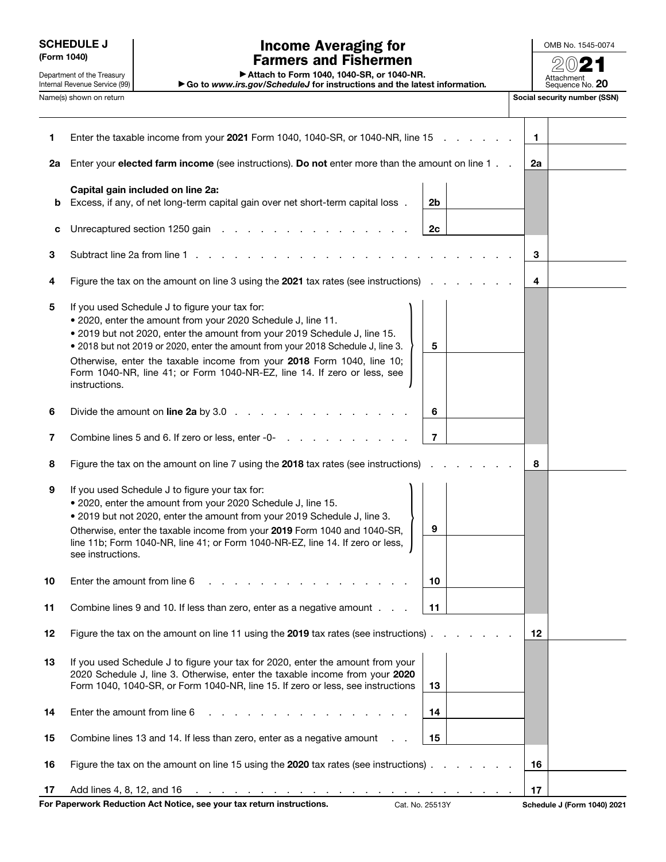| <b>SCHEDULE J</b> |  |
|-------------------|--|
| (Form 1040)       |  |

#### (Form 1040)<br>Department of the Treasury **Example 10** 2021 **2021**<br>Department of the Treasury **2021** Income Averaging for Farmers and Fishermen

OMB No. 1545-0074

| I GIIDOIU GIIG I IUNUINUI                              |  |  |
|--------------------------------------------------------|--|--|
| $\triangleright$ Attach to Form 1040 1040-SR or 1040-N |  |  |

▶ Go to *www.irs.gov/ScheduleJ* for instructions and the latest information*.*

Attachment<br>Sequence No. **20** Name(s) shown on return SSN)

Department of the Treasury Internal Revenue Service (99)

| 1. | Enter the taxable income from your 2021 Form 1040, 1040-SR, or 1040-NR, line 15                                                                                                                                                                                                                                                                                                                                                                        |                 | $\mathbf{1}$ |                             |
|----|--------------------------------------------------------------------------------------------------------------------------------------------------------------------------------------------------------------------------------------------------------------------------------------------------------------------------------------------------------------------------------------------------------------------------------------------------------|-----------------|--------------|-----------------------------|
| 2a | Enter your elected farm income (see instructions). Do not enter more than the amount on line 1                                                                                                                                                                                                                                                                                                                                                         |                 | 2a           |                             |
| b  | Capital gain included on line 2a:<br>Excess, if any, of net long-term capital gain over net short-term capital loss.                                                                                                                                                                                                                                                                                                                                   | 2 <sub>b</sub>  |              |                             |
| с  | Unrecaptured section 1250 gain                                                                                                                                                                                                                                                                                                                                                                                                                         | 2c              |              |                             |
| 3  | Subtract line 2a from line 1                                                                                                                                                                                                                                                                                                                                                                                                                           |                 | 3            |                             |
| 4  | Figure the tax on the amount on line 3 using the 2021 tax rates (see instructions)                                                                                                                                                                                                                                                                                                                                                                     |                 | 4            |                             |
| 5  | If you used Schedule J to figure your tax for:<br>. 2020, enter the amount from your 2020 Schedule J, line 11.<br>. 2019 but not 2020, enter the amount from your 2019 Schedule J, line 15.<br>. 2018 but not 2019 or 2020, enter the amount from your 2018 Schedule J, line 3.<br>Otherwise, enter the taxable income from your 2018 Form 1040, line 10;<br>Form 1040-NR, line 41; or Form 1040-NR-EZ, line 14. If zero or less, see<br>instructions. | 5               |              |                             |
| 6  | Divide the amount on line 2a by 3.0 $\ldots$ $\ldots$ $\ldots$ $\ldots$ $\ldots$                                                                                                                                                                                                                                                                                                                                                                       | 6               |              |                             |
| 7  | Combine lines 5 and 6. If zero or less, enter -0-                                                                                                                                                                                                                                                                                                                                                                                                      | $\overline{7}$  |              |                             |
| 8  | Figure the tax on the amount on line 7 using the 2018 tax rates (see instructions)                                                                                                                                                                                                                                                                                                                                                                     |                 | 8            |                             |
| 9  | If you used Schedule J to figure your tax for:<br>. 2020, enter the amount from your 2020 Schedule J, line 15.<br>. 2019 but not 2020, enter the amount from your 2019 Schedule J, line 3.<br>Otherwise, enter the taxable income from your 2019 Form 1040 and 1040-SR,<br>line 11b; Form 1040-NR, line 41; or Form 1040-NR-EZ, line 14. If zero or less,<br>see instructions.                                                                         | 9               |              |                             |
| 10 | Enter the amount from line 6                                                                                                                                                                                                                                                                                                                                                                                                                           | 10              |              |                             |
|    | Combine lines 9 and 10. If less than zero, enter as a negative amount .                                                                                                                                                                                                                                                                                                                                                                                | 11              |              |                             |
| 12 | Figure the tax on the amount on line 11 using the 2019 tax rates (see instructions).                                                                                                                                                                                                                                                                                                                                                                   |                 | 12           |                             |
| 13 | If you used Schedule J to figure your tax for 2020, enter the amount from your<br>2020 Schedule J, line 3. Otherwise, enter the taxable income from your 2020<br>Form 1040, 1040-SR, or Form 1040-NR, line 15. If zero or less, see instructions                                                                                                                                                                                                       | 13              |              |                             |
| 14 | Enter the amount from line 6                                                                                                                                                                                                                                                                                                                                                                                                                           | 14              |              |                             |
| 15 | Combine lines 13 and 14. If less than zero, enter as a negative amount                                                                                                                                                                                                                                                                                                                                                                                 | 15              |              |                             |
| 16 | Figure the tax on the amount on line 15 using the 2020 tax rates (see instructions).                                                                                                                                                                                                                                                                                                                                                                   |                 | 16           |                             |
| 17 | Add lines 4, 8, 12, and 16<br>the contract of the contract of the contract of the contract of                                                                                                                                                                                                                                                                                                                                                          |                 | 17           |                             |
|    | For Paperwork Reduction Act Notice, see your tax return instructions.                                                                                                                                                                                                                                                                                                                                                                                  | Cat. No. 25513Y |              | Schedule J (Form 1040) 2021 |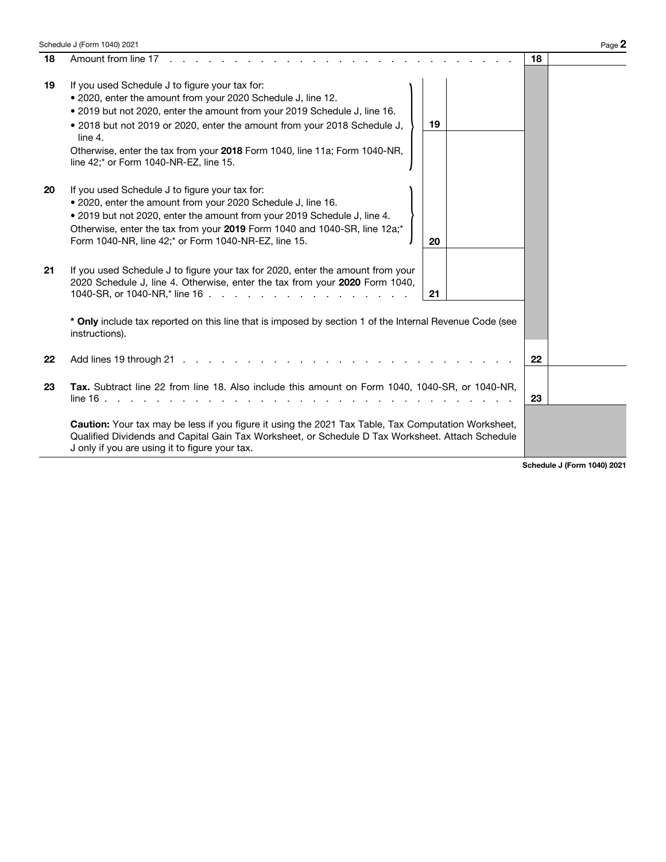| 18 | Amount from line 17                                                                                                                                                                                                                                                                                                                                                                                              | 18 |  |
|----|------------------------------------------------------------------------------------------------------------------------------------------------------------------------------------------------------------------------------------------------------------------------------------------------------------------------------------------------------------------------------------------------------------------|----|--|
| 19 | If you used Schedule J to figure your tax for:<br>. 2020, enter the amount from your 2020 Schedule J, line 12.<br>. 2019 but not 2020, enter the amount from your 2019 Schedule J, line 16.<br>. 2018 but not 2019 or 2020, enter the amount from your 2018 Schedule J,<br>19<br>line 4.<br>Otherwise, enter the tax from your 2018 Form 1040, line 11a; Form 1040-NR,<br>line 42;* or Form 1040-NR-EZ, line 15. |    |  |
| 20 | If you used Schedule J to figure your tax for:<br>. 2020, enter the amount from your 2020 Schedule J, line 16.<br>. 2019 but not 2020, enter the amount from your 2019 Schedule J, line 4.<br>Otherwise, enter the tax from your 2019 Form 1040 and 1040-SR, line 12a;*<br>Form 1040-NR, line 42;* or Form 1040-NR-EZ, line 15.<br>20                                                                            |    |  |
| 21 | If you used Schedule J to figure your tax for 2020, enter the amount from your<br>2020 Schedule J, line 4. Otherwise, enter the tax from your 2020 Form 1040,<br>21                                                                                                                                                                                                                                              |    |  |
|    | * Only include tax reported on this line that is imposed by section 1 of the Internal Revenue Code (see<br>instructions).                                                                                                                                                                                                                                                                                        |    |  |
| 22 | Add lines 19 through 21                                                                                                                                                                                                                                                                                                                                                                                          | 22 |  |
| 23 | <b>Tax.</b> Subtract line 22 from line 18. Also include this amount on Form 1040, 1040-SR, or 1040-NR,<br>$line 16$ .                                                                                                                                                                                                                                                                                            | 23 |  |
|    | Caution: Your tax may be less if you figure it using the 2021 Tax Table, Tax Computation Worksheet,<br>Qualified Dividends and Capital Gain Tax Worksheet, or Schedule D Tax Worksheet. Attach Schedule<br>J only if you are using it to figure your tax.                                                                                                                                                        |    |  |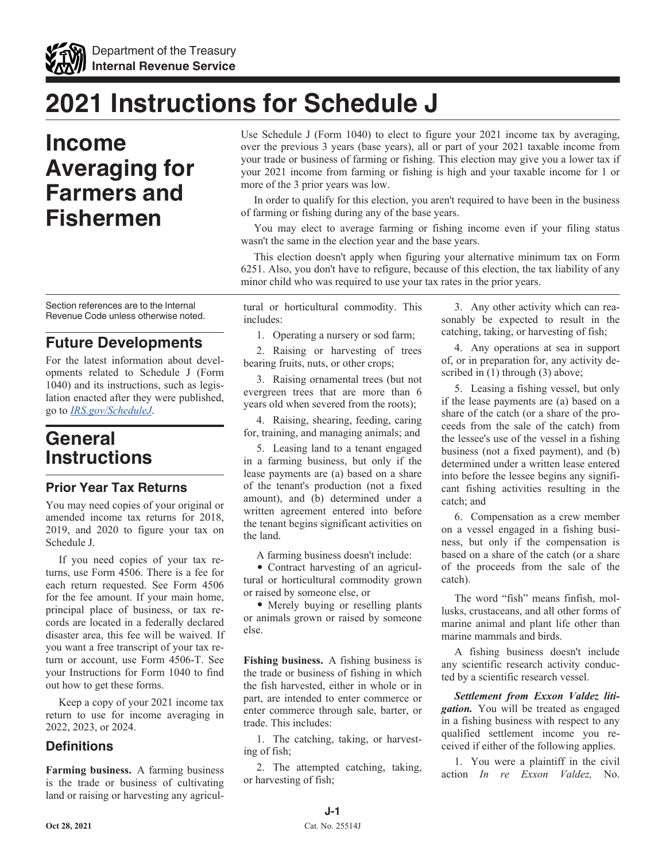

# **2021 Instructions for Schedule J**

### **Income Averaging for Farmers and Fishermen**

Section references are to the Internal Revenue Code unless otherwise noted.

#### **Future Developments**

For the latest information about developments related to Schedule J (Form 1040) and its instructions, such as legislation enacted after they were published, go to *[IRS.gov/ScheduleJ](https://www.irs.gov/schedulej)*.

#### **General Instructions**

#### **Prior Year Tax Returns**

You may need copies of your original or amended income tax returns for 2018, 2019, and 2020 to figure your tax on Schedule J.

If you need copies of your tax returns, use Form 4506. There is a fee for each return requested. See Form 4506 for the fee amount. If your main home, principal place of business, or tax records are located in a federally declared disaster area, this fee will be waived. If you want a free transcript of your tax return or account, use Form 4506-T. See your Instructions for Form 1040 to find out how to get these forms.

Keep a copy of your 2021 income tax return to use for income averaging in 2022, 2023, or 2024.

#### **Definitions**

**Farming business.** A farming business is the trade or business of cultivating land or raising or harvesting any agricul-

Use Schedule J (Form 1040) to elect to figure your 2021 income tax by averaging, over the previous 3 years (base years), all or part of your 2021 taxable income from your trade or business of farming or fishing. This election may give you a lower tax if your 2021 income from farming or fishing is high and your taxable income for 1 or more of the 3 prior years was low.

In order to qualify for this election, you aren't required to have been in the business of farming or fishing during any of the base years.

You may elect to average farming or fishing income even if your filing status wasn't the same in the election year and the base years.

This election doesn't apply when figuring your alternative minimum tax on Form 6251. Also, you don't have to refigure, because of this election, the tax liability of any minor child who was required to use your tax rates in the prior years.

tural or horticultural commodity. This includes:

1. Operating a nursery or sod farm;

2. Raising or harvesting of trees bearing fruits, nuts, or other crops;

3. Raising ornamental trees (but not evergreen trees that are more than 6 years old when severed from the roots);

4. Raising, shearing, feeding, caring for, training, and managing animals; and

5. Leasing land to a tenant engaged in a farming business, but only if the lease payments are (a) based on a share of the tenant's production (not a fixed amount), and (b) determined under a written agreement entered into before the tenant begins significant activities on the land.

A farming business doesn't include:

• Contract harvesting of an agricultural or horticultural commodity grown or raised by someone else, or

• Merely buying or reselling plants or animals grown or raised by someone else.

**Fishing business.** A fishing business is the trade or business of fishing in which the fish harvested, either in whole or in part, are intended to enter commerce or enter commerce through sale, barter, or trade. This includes:

1. The catching, taking, or harvesting of fish;

2. The attempted catching, taking, or harvesting of fish;

3. Any other activity which can reasonably be expected to result in the catching, taking, or harvesting of fish;

4. Any operations at sea in support of, or in preparation for, any activity described in (1) through (3) above;

5. Leasing a fishing vessel, but only if the lease payments are (a) based on a share of the catch (or a share of the proceeds from the sale of the catch) from the lessee's use of the vessel in a fishing business (not a fixed payment), and (b) determined under a written lease entered into before the lessee begins any significant fishing activities resulting in the catch; and

6. Compensation as a crew member on a vessel engaged in a fishing business, but only if the compensation is based on a share of the catch (or a share of the proceeds from the sale of the catch).

The word "fish" means finfish, mollusks, crustaceans, and all other forms of marine animal and plant life other than marine mammals and birds.

A fishing business doesn't include any scientific research activity conducted by a scientific research vessel.

*Settlement from Exxon Valdez litigation.* You will be treated as engaged in a fishing business with respect to any qualified settlement income you received if either of the following applies.

1. You were a plaintiff in the civil action *In re Exxon Valdez,* No.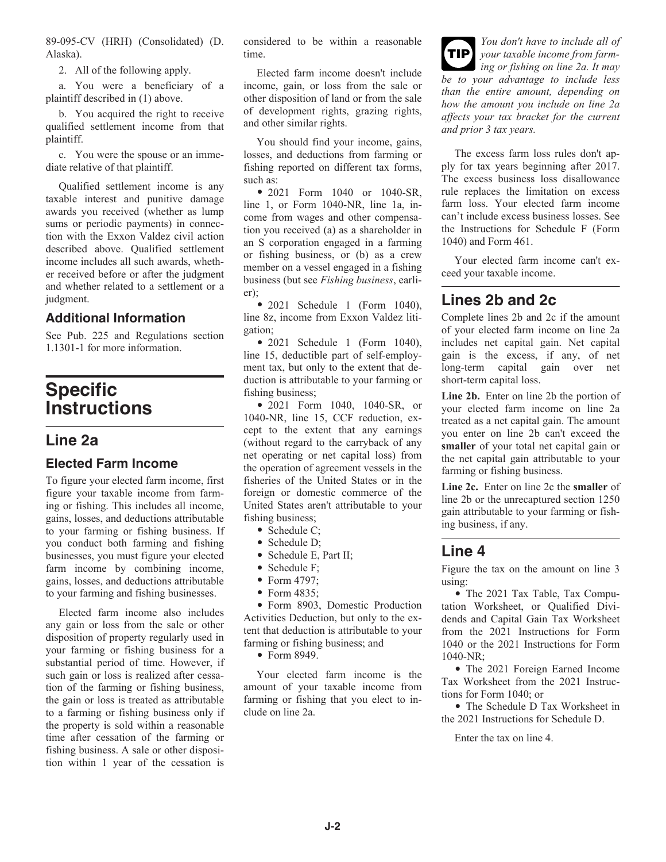89-095-CV (HRH) (Consolidated) (D. Alaska).

2. All of the following apply.

a. You were a beneficiary of a plaintiff described in (1) above.

b. You acquired the right to receive qualified settlement income from that plaintiff.

c. You were the spouse or an immediate relative of that plaintiff.

Qualified settlement income is any taxable interest and punitive damage awards you received (whether as lump sums or periodic payments) in connection with the Exxon Valdez civil action described above. Qualified settlement income includes all such awards, whether received before or after the judgment and whether related to a settlement or a judgment.

#### **Additional Information**

See Pub. 225 and Regulations section 1.1301-1 for more information.

#### **Specific Instructions**

#### **Line 2a**

#### **Elected Farm Income**

To figure your elected farm income, first figure your taxable income from farming or fishing. This includes all income, gains, losses, and deductions attributable to your farming or fishing business. If you conduct both farming and fishing businesses, you must figure your elected farm income by combining income, gains, losses, and deductions attributable to your farming and fishing businesses.

Elected farm income also includes any gain or loss from the sale or other disposition of property regularly used in your farming or fishing business for a substantial period of time. However, if such gain or loss is realized after cessation of the farming or fishing business, the gain or loss is treated as attributable to a farming or fishing business only if the property is sold within a reasonable time after cessation of the farming or fishing business. A sale or other disposition within 1 year of the cessation is considered to be within a reasonable time.

Elected farm income doesn't include income, gain, or loss from the sale or other disposition of land or from the sale of development rights, grazing rights, and other similar rights.

You should find your income, gains, losses, and deductions from farming or fishing reported on different tax forms, such as:

• 2021 Form 1040 or 1040-SR, line 1, or Form 1040-NR, line 1a, income from wages and other compensation you received (a) as a shareholder in an S corporation engaged in a farming or fishing business, or (b) as a crew member on a vessel engaged in a fishing business (but see *Fishing business*, earlier);

• 2021 Schedule 1 (Form 1040), line 8z, income from Exxon Valdez litigation;

• 2021 Schedule 1 (Form 1040), line 15, deductible part of self-employment tax, but only to the extent that deduction is attributable to your farming or fishing business;

• 2021 Form 1040, 1040-SR, or 1040-NR, line 15, CCF reduction, except to the extent that any earnings (without regard to the carryback of any net operating or net capital loss) from the operation of agreement vessels in the fisheries of the United States or in the foreign or domestic commerce of the United States aren't attributable to your fishing business;

- Schedule C:
- Schedule D;
- Schedule E, Part II;
- Schedule F;
- Form 4797;
- Form 4835;

• Form 8903, Domestic Production Activities Deduction, but only to the extent that deduction is attributable to your farming or fishing business; and

• Form 8949.

Your elected farm income is the amount of your taxable income from farming or fishing that you elect to include on line 2a.

*You don't have to include all of your taxable income from farm-***TIP** *ing or fishing on line 2a. It may be to your advantage to include less than the entire amount, depending on how the amount you include on line 2a affects your tax bracket for the current and prior 3 tax years.*

The excess farm loss rules don't apply for tax years beginning after 2017. The excess business loss disallowance rule replaces the limitation on excess farm loss. Your elected farm income can't include excess business losses. See the Instructions for Schedule F (Form 1040) and Form 461.

Your elected farm income can't exceed your taxable income.

#### **Lines 2b and 2c**

Complete lines 2b and 2c if the amount of your elected farm income on line 2a includes net capital gain. Net capital gain is the excess, if any, of net long-term capital gain over net short-term capital loss.

**Line 2b.** Enter on line 2b the portion of your elected farm income on line 2a treated as a net capital gain. The amount you enter on line 2b can't exceed the **smaller** of your total net capital gain or the net capital gain attributable to your farming or fishing business.

**Line 2c.** Enter on line 2c the **smaller** of line 2b or the unrecaptured section 1250 gain attributable to your farming or fishing business, if any.

#### **Line 4**

Figure the tax on the amount on line 3 using:

• The 2021 Tax Table, Tax Computation Worksheet, or Qualified Dividends and Capital Gain Tax Worksheet from the 2021 Instructions for Form 1040 or the 2021 Instructions for Form 1040-NR;

• The 2021 Foreign Earned Income Tax Worksheet from the 2021 Instructions for Form 1040; or

• The Schedule D Tax Worksheet in the 2021 Instructions for Schedule D.

Enter the tax on line 4.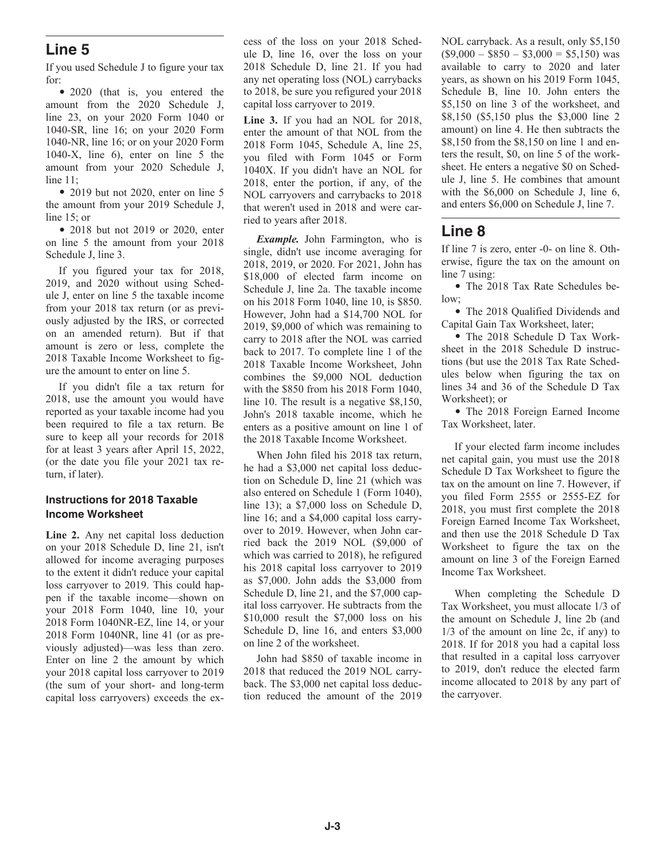If you used Schedule J to figure your tax for:

• 2020 (that is, you entered the amount from the 2020 Schedule J, line 23, on your 2020 Form 1040 or 1040-SR, line 16; on your 2020 Form 1040-NR, line 16; or on your 2020 Form 1040-X, line 6), enter on line 5 the amount from your 2020 Schedule J, line 11;

• 2019 but not 2020, enter on line 5 the amount from your 2019 Schedule J, line 15; or

• 2018 but not 2019 or 2020, enter on line 5 the amount from your 2018 Schedule J, line 3.

If you figured your tax for 2018, 2019, and 2020 without using Schedule J, enter on line 5 the taxable income from your 2018 tax return (or as previously adjusted by the IRS, or corrected on an amended return). But if that amount is zero or less, complete the 2018 Taxable Income Worksheet to figure the amount to enter on line 5.

If you didn't file a tax return for 2018, use the amount you would have reported as your taxable income had you been required to file a tax return. Be sure to keep all your records for 2018 for at least 3 years after April 15, 2022, (or the date you file your 2021 tax return, if later).

#### **Instructions for 2018 Taxable Income Worksheet**

**Line 2.** Any net capital loss deduction on your 2018 Schedule D, line 21, isn't allowed for income averaging purposes to the extent it didn't reduce your capital loss carryover to 2019. This could happen if the taxable income—shown on your 2018 Form 1040, line 10, your 2018 Form 1040NR-EZ, line 14, or your 2018 Form 1040NR, line 41 (or as previously adjusted)—was less than zero. Enter on line 2 the amount by which your 2018 capital loss carryover to 2019 (the sum of your short- and long-term capital loss carryovers) exceeds the excess of the loss on your 2018 Schedule D, line 16, over the loss on your 2018 Schedule D, line 21. If you had any net operating loss (NOL) carrybacks to 2018, be sure you refigured your 2018 capital loss carryover to 2019.

**Line 3.** If you had an NOL for 2018, enter the amount of that NOL from the 2018 Form 1045, Schedule A, line 25, you filed with Form 1045 or Form 1040X. If you didn't have an NOL for 2018, enter the portion, if any, of the NOL carryovers and carrybacks to 2018 that weren't used in 2018 and were carried to years after 2018.

*Example.* John Farmington, who is single, didn't use income averaging for 2018, 2019, or 2020. For 2021, John has \$18,000 of elected farm income on Schedule J, line 2a. The taxable income on his 2018 Form 1040, line 10, is \$850. However, John had a \$14,700 NOL for 2019, \$9,000 of which was remaining to carry to 2018 after the NOL was carried back to 2017. To complete line 1 of the 2018 Taxable Income Worksheet, John combines the \$9,000 NOL deduction with the \$850 from his 2018 Form 1040, line 10. The result is a negative \$8,150, John's 2018 taxable income, which he enters as a positive amount on line 1 of the 2018 Taxable Income Worksheet.

When John filed his 2018 tax return, he had a \$3,000 net capital loss deduction on Schedule D, line 21 (which was also entered on Schedule 1 (Form 1040), line 13); a \$7,000 loss on Schedule D, line 16; and a \$4,000 capital loss carryover to 2019. However, when John carried back the 2019 NOL (\$9,000 of which was carried to 2018), he refigured his 2018 capital loss carryover to 2019 as \$7,000. John adds the \$3,000 from Schedule D, line 21, and the \$7,000 capital loss carryover. He subtracts from the \$10,000 result the \$7,000 loss on his Schedule D, line 16, and enters \$3,000 on line 2 of the worksheet.

John had \$850 of taxable income in 2018 that reduced the 2019 NOL carryback. The \$3,000 net capital loss deduction reduced the amount of the 2019 NOL carryback. As a result, only \$5,150  $($9,000 - $850 - $3,000 = $5,150)$  was available to carry to 2020 and later years, as shown on his 2019 Form 1045, Schedule B, line 10. John enters the \$5,150 on line 3 of the worksheet, and \$8,150 (\$5,150 plus the \$3,000 line 2 amount) on line 4. He then subtracts the \$8,150 from the \$8,150 on line 1 and enters the result, \$0, on line 5 of the worksheet. He enters a negative \$0 on Schedule J, line 5. He combines that amount with the \$6,000 on Schedule J, line 6, and enters \$6,000 on Schedule J, line 7.

#### **Line 8**

If line 7 is zero, enter -0- on line 8. Otherwise, figure the tax on the amount on line 7 using:

• The 2018 Tax Rate Schedules below;

• The 2018 Qualified Dividends and Capital Gain Tax Worksheet, later;

• The 2018 Schedule D Tax Worksheet in the 2018 Schedule D instructions (but use the 2018 Tax Rate Schedules below when figuring the tax on lines 34 and 36 of the Schedule D Tax Worksheet); or

• The 2018 Foreign Earned Income Tax Worksheet, later.

If your elected farm income includes net capital gain, you must use the 2018 Schedule D Tax Worksheet to figure the tax on the amount on line 7. However, if you filed Form 2555 or 2555-EZ for 2018, you must first complete the 2018 Foreign Earned Income Tax Worksheet, and then use the 2018 Schedule D Tax Worksheet to figure the tax on the amount on line 3 of the Foreign Earned Income Tax Worksheet.

When completing the Schedule D Tax Worksheet, you must allocate 1/3 of the amount on Schedule J, line 2b (and 1/3 of the amount on line 2c, if any) to 2018. If for 2018 you had a capital loss that resulted in a capital loss carryover to 2019, don't reduce the elected farm income allocated to 2018 by any part of the carryover.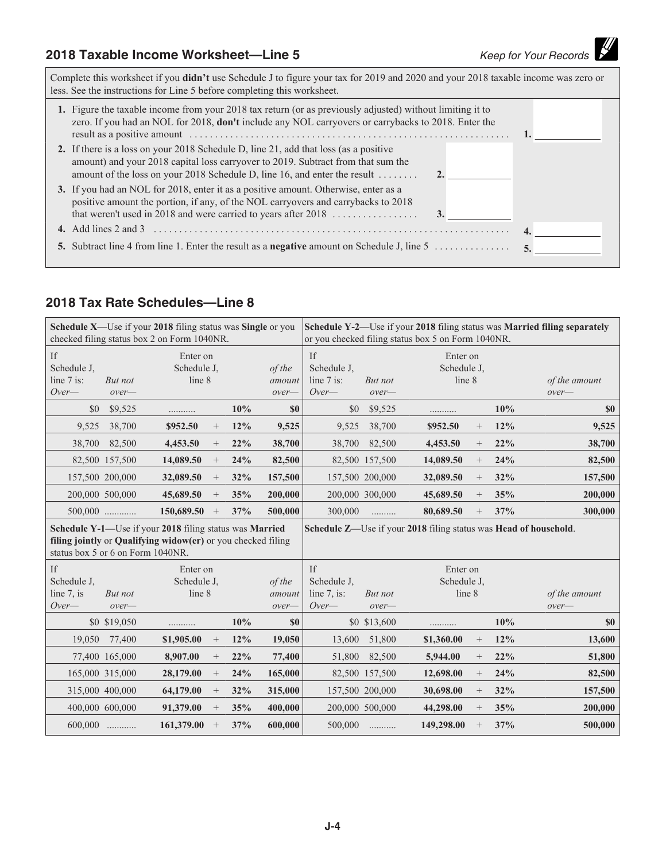#### **2018 Taxable Income Worksheet-Line 5**

| Keep for Your Records |  |
|-----------------------|--|

| Complete this worksheet if you <b>didn't</b> use Schedule J to figure your tax for 2019 and 2020 and your 2018 taxable income was zero or<br>less. See the instructions for Line 5 before completing this worksheet.                                                |  |
|---------------------------------------------------------------------------------------------------------------------------------------------------------------------------------------------------------------------------------------------------------------------|--|
| 1. Figure the taxable income from your 2018 tax return (or as previously adjusted) without limiting it to<br>zero. If you had an NOL for 2018, <b>don't</b> include any NOL carryovers or carrybacks to 2018. Enter the                                             |  |
| 2. If there is a loss on your 2018 Schedule D, line 21, add that loss (as a positive<br>amount) and your 2018 capital loss carryover to 2019. Subtract from that sum the<br>amount of the loss on your 2018 Schedule D, line 16, and enter the result $\dots \dots$ |  |
| 3. If you had an NOL for 2018, enter it as a positive amount. Otherwise, enter as a<br>positive amount the portion, if any, of the NOL carryovers and carrybacks to 2018<br>that weren't used in 2018 and were carried to years after 2018                          |  |
| 4. Add lines 2 and 3                                                                                                                                                                                                                                                |  |
|                                                                                                                                                                                                                                                                     |  |

#### **2018 Tax Rate Schedules—Line 8**

|                                                     |                    | <b>Schedule X—Use if your 2018 filing status was Single or you</b><br>checked filing status box 2 on Form 1040NR.       |                                   |        |                           |                                                |                    | or you checked filing status box 5 on Form 1040NR.               |                 |     | Schedule Y-2—Use if your 2018 filing status was Married filing separately |
|-----------------------------------------------------|--------------------|-------------------------------------------------------------------------------------------------------------------------|-----------------------------------|--------|---------------------------|------------------------------------------------|--------------------|------------------------------------------------------------------|-----------------|-----|---------------------------------------------------------------------------|
| <b>If</b><br>Schedule J,<br>$line 7$ is:<br>$Over-$ | But not<br>$over-$ | Enter on<br>Schedule J.<br>line 8                                                                                       |                                   |        | of the<br>amount<br>over- | If<br>Schedule J.<br>line $7$ is:<br>$Over-$   | But not<br>$over-$ | Enter on<br>Schedule J.<br>line 8                                |                 |     | of the amount<br>$over-$                                                  |
| \$0                                                 | \$9,525            | .                                                                                                                       |                                   | 10%    | \$0                       | \$0                                            | \$9,525            | .                                                                |                 | 10% | \$0                                                                       |
| 9,525                                               | 38,700             | \$952.50                                                                                                                | $\hspace{0.1mm} + \hspace{0.1mm}$ | 12%    | 9,525                     | 9,525                                          | 38,700             | \$952.50                                                         | $\! + \!\!\!\!$ | 12% | 9,525                                                                     |
| 38,700                                              | 82,500             | 4,453.50                                                                                                                | $^+$                              | 22%    | 38,700                    | 38,700                                         | 82,500             | 4,453.50                                                         | $^{+}$          | 22% | 38,700                                                                    |
|                                                     | 82,500 157,500     | 14,089.50                                                                                                               | $^+$                              | 24%    | 82,500                    |                                                | 82,500 157,500     | 14,089.50                                                        | $\! + \!\!\!\!$ | 24% | 82,500                                                                    |
|                                                     | 157,500 200,000    | 32,089.50                                                                                                               | $^+$                              | 32%    | 157,500                   |                                                | 157,500 200,000    | 32,089.50                                                        | $\! + \!\!\!\!$ | 32% | 157,500                                                                   |
|                                                     | 200,000 500,000    | 45,689.50                                                                                                               |                                   | 35%    | 200,000                   |                                                | 200,000 300,000    | 45,689.50                                                        | $\! + \!\!\!\!$ | 35% | 200,000                                                                   |
|                                                     | $500,000$          | 150,689.50                                                                                                              | $+$                               | 37%    | 500,000                   | 300,000                                        | .                  | 80,689.50                                                        | $+$             | 37% | 300,000                                                                   |
|                                                     |                    |                                                                                                                         |                                   |        |                           |                                                |                    |                                                                  |                 |     |                                                                           |
| status box 5 or 6 on Form 1040NR.                   |                    | Schedule Y-1—Use if your 2018 filing status was Married<br>filing jointly or Qualifying widow(er) or you checked filing |                                   |        |                           |                                                |                    | Schedule Z—Use if your 2018 filing status was Head of household. |                 |     |                                                                           |
| If<br>Schedule J.<br>line $7$ , is<br>$Over-$       | But not<br>$over-$ | Enter on<br>Schedule J,<br>line 8                                                                                       |                                   |        | of the<br>amount<br>over- | If<br>Schedule J.<br>line $7$ , is:<br>$Over-$ | But not<br>$over-$ | Enter on<br>Schedule J,<br>line 8                                |                 |     | of the amount<br>$over-$                                                  |
|                                                     | \$0 \$19,050       | .                                                                                                                       |                                   | $10\%$ | \$0                       |                                                | \$0 \$13,600       | .                                                                |                 | 10% | \$0                                                                       |
| 19,050                                              | 77,400             | \$1,905.00                                                                                                              |                                   | 12%    | 19,050                    | 13,600                                         | 51,800             | \$1,360.00                                                       |                 | 12% | 13,600                                                                    |
|                                                     | 77,400 165,000     | 8,907.00                                                                                                                | $\! + \!\!\!\!$                   | 22%    | 77,400                    | 51,800                                         | 82,500             | 5,944.00                                                         | $\! + \!\!\!\!$ | 22% | 51,800                                                                    |
|                                                     | 165,000 315,000    | 28,179.00                                                                                                               | $^+$                              | 24%    | 165,000                   |                                                | 82,500 157,500     | 12,698.00                                                        | $\! + \!\!\!\!$ | 24% | 82,500                                                                    |
|                                                     | 315,000 400,000    | 64,179.00                                                                                                               | $^+$                              | 32%    | 315,000                   |                                                | 157,500 200,000    | 30,698.00                                                        | $\! + \!\!\!\!$ | 32% | 157,500                                                                   |
|                                                     | 400,000 600,000    | 91,379.00                                                                                                               | $\! + \!\!\!\!$                   | 35%    | 400,000                   |                                                | 200,000 500,000    | 44,298.00                                                        | $^{+}$          | 35% | 200,000                                                                   |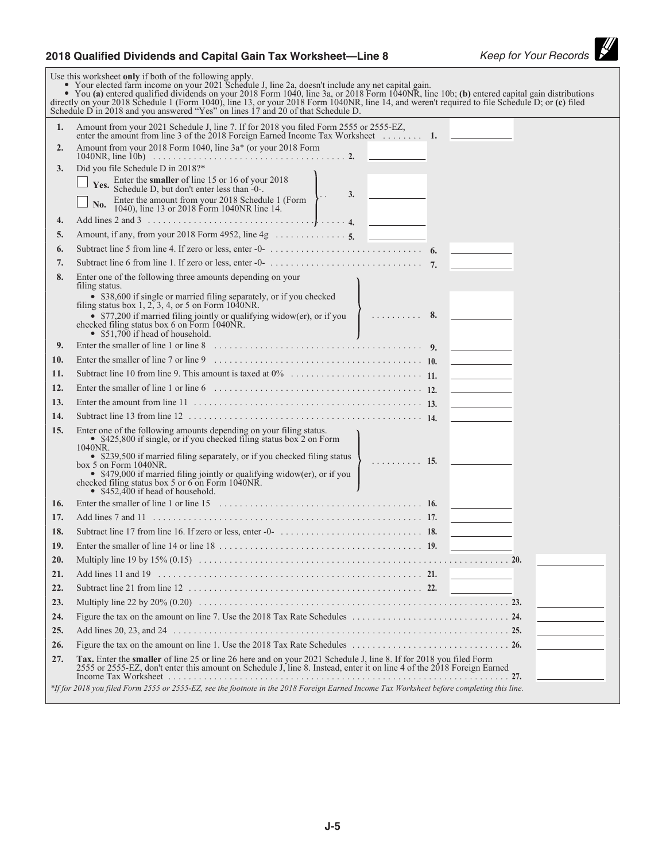# **2018 Qualified Dividends and Capital Gain Tax Worksheet—Line 8** *Keep for Your Records*

|     | Use this worksheet only if both of the following apply.<br>• Your elected farm income on your 2021 Schedule J, line 2a, doesn't include any net capital gain.<br>• You (a) entered qualified dividends on your 2018 Form 1040, line 3a, or 2018 Form 1040NR, line 10b; (b) entered capital gain distributions<br>directly on your 2018 Schedule 1 (Form 1040), line 13, or your 2018 Form 1040NR, line 14, and weren't required to file Schedule D; or (c) filed<br>Schedule D in 2018 and you answered "Yes" on lines 17 and 20 of that Schedule D. |
|-----|------------------------------------------------------------------------------------------------------------------------------------------------------------------------------------------------------------------------------------------------------------------------------------------------------------------------------------------------------------------------------------------------------------------------------------------------------------------------------------------------------------------------------------------------------|
| 1.  | Amount from your 2021 Schedule J, line 7. If for 2018 you filed Form 2555 or 2555-EZ,                                                                                                                                                                                                                                                                                                                                                                                                                                                                |
| 2.  | Amount from your 2018 Form 1040, line 3a* (or your 2018 Form                                                                                                                                                                                                                                                                                                                                                                                                                                                                                         |
| 3.  | Did you file Schedule D in 2018?*                                                                                                                                                                                                                                                                                                                                                                                                                                                                                                                    |
|     | Yes. Enter the smaller of line 15 or 16 of your 2018<br>Schedule D, but don't enter less than -0-.<br>3.                                                                                                                                                                                                                                                                                                                                                                                                                                             |
|     | Enter the amount from your 2018 Schedule 1 (Form $\left\{\n\cdot\right\}$<br>No. 1040), line 13 or 2018 Form 1040NR line 14.                                                                                                                                                                                                                                                                                                                                                                                                                         |
| 4.  |                                                                                                                                                                                                                                                                                                                                                                                                                                                                                                                                                      |
| 5.  |                                                                                                                                                                                                                                                                                                                                                                                                                                                                                                                                                      |
| 6.  |                                                                                                                                                                                                                                                                                                                                                                                                                                                                                                                                                      |
| 7.  |                                                                                                                                                                                                                                                                                                                                                                                                                                                                                                                                                      |
| 8.  | Enter one of the following three amounts depending on your<br>filing status.                                                                                                                                                                                                                                                                                                                                                                                                                                                                         |
|     | • \$38,600 if single or married filing separately, or if you checked                                                                                                                                                                                                                                                                                                                                                                                                                                                                                 |
|     | filing status box 1, $2, 3, 4$ , or 5 on Form $1040NR$ .                                                                                                                                                                                                                                                                                                                                                                                                                                                                                             |
|     | checked filing status box 6 on Form 1040NR.<br>• $$51.700$ if head of household.                                                                                                                                                                                                                                                                                                                                                                                                                                                                     |
| 9.  | Enter the smaller of line 1 or line 8 $\ldots$ $\ldots$ $\ldots$ $\ldots$ $\ldots$ $\ldots$ $\ldots$ $\ldots$ 9.                                                                                                                                                                                                                                                                                                                                                                                                                                     |
| 10. |                                                                                                                                                                                                                                                                                                                                                                                                                                                                                                                                                      |
| 11. | <u> Albanya (Albanya)</u>                                                                                                                                                                                                                                                                                                                                                                                                                                                                                                                            |
| 12. | <u> Albanya (Albanya)</u>                                                                                                                                                                                                                                                                                                                                                                                                                                                                                                                            |
| 13. | <b>Contract Contract Contract</b>                                                                                                                                                                                                                                                                                                                                                                                                                                                                                                                    |
| 14. | <u> 1999 - Johann Barnett, f</u>                                                                                                                                                                                                                                                                                                                                                                                                                                                                                                                     |
| 15. | Enter one of the following amounts depending on your filing status.                                                                                                                                                                                                                                                                                                                                                                                                                                                                                  |
|     | • \$425,800 if single, or if you checked filing status box $2$ on Form<br>1040NR.                                                                                                                                                                                                                                                                                                                                                                                                                                                                    |
|     | UNK. • \$239,500 if married filing separately, or if you checked filing status $\left\{\n\begin{array}{ccc}\n1. & 1. & 1. & \dots & 1. & \dots & 1. & \dots & 1. & \dots & 1. & \dots & 1. & \dots & 1. & \dots & 1. & \dots & 1. & \dots & 1. & \dots & 1. & \dots & 1. & \dots & 1. & \dots & 1. & \dots & 1. & \dots & 1. & \dots & 1. & \dots & 1.$<br>box $5$ on Form $1040NR$ .                                                                                                                                                                |
|     | • \$479,000 if married filing jointly or qualifying widow(er), or if you                                                                                                                                                                                                                                                                                                                                                                                                                                                                             |
|     | checked filing status box 5 or 6 on Form 1040NR.<br>• \$452,400 if head of household.                                                                                                                                                                                                                                                                                                                                                                                                                                                                |
| 16. |                                                                                                                                                                                                                                                                                                                                                                                                                                                                                                                                                      |
| 17. | the company of the company of                                                                                                                                                                                                                                                                                                                                                                                                                                                                                                                        |
| 18. | Subtract line 17 from line 16. If zero or less, enter $-0$ - $\ldots$ , $\ldots$ , $\ldots$ , $\ldots$ , $\ldots$ , 18.                                                                                                                                                                                                                                                                                                                                                                                                                              |
| 19. |                                                                                                                                                                                                                                                                                                                                                                                                                                                                                                                                                      |
| 20. |                                                                                                                                                                                                                                                                                                                                                                                                                                                                                                                                                      |
| 21. |                                                                                                                                                                                                                                                                                                                                                                                                                                                                                                                                                      |
| 22. |                                                                                                                                                                                                                                                                                                                                                                                                                                                                                                                                                      |
| 23. |                                                                                                                                                                                                                                                                                                                                                                                                                                                                                                                                                      |
| 24. | the company of the company of                                                                                                                                                                                                                                                                                                                                                                                                                                                                                                                        |
| 25. | the control of the control of                                                                                                                                                                                                                                                                                                                                                                                                                                                                                                                        |
| 26. |                                                                                                                                                                                                                                                                                                                                                                                                                                                                                                                                                      |
| 27. | Tax. Enter the smaller of line 25 or line 26 here and on your 2021 Schedule J, line 8. If for 2018 you filed Form<br>2555 or 2555-EZ, don't enter this amount on Schedule J, line 8. Instead, enter it on line 4 of the 2018 Foreign Earned                                                                                                                                                                                                                                                                                                          |
|     | *If for 2018 you filed Form 2555 or 2555-EZ, see the footnote in the 2018 Foreign Earned Income Tax Worksheet before completing this line.                                                                                                                                                                                                                                                                                                                                                                                                           |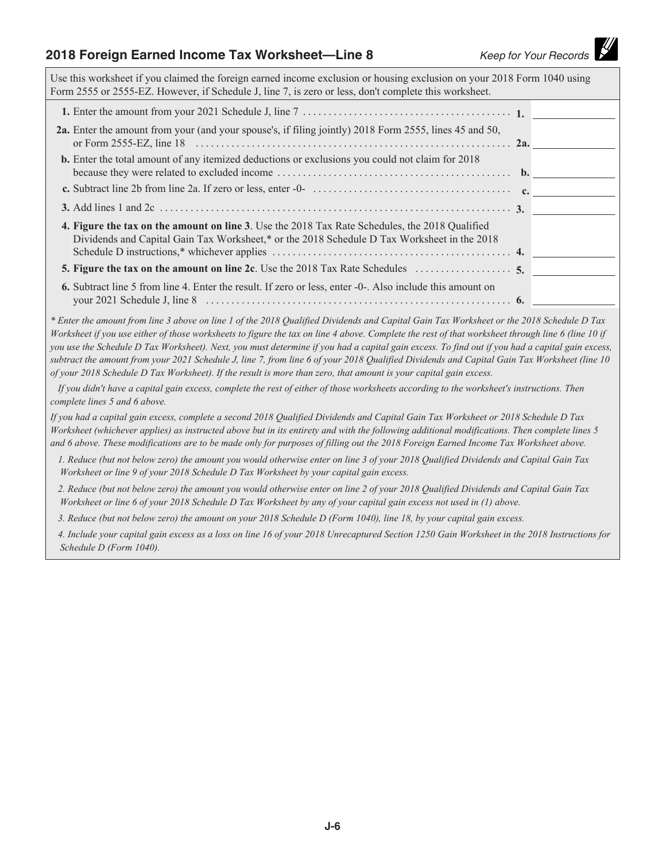#### **2018 Foreign Earned Income Tax Worksheet—Line 8** *Keep for Your Records*

Use this worksheet if you claimed the foreign earned income exclusion or housing exclusion on your 2018 Form 1040 using Form 2555 or 2555-EZ. However, if Schedule J, line 7, is zero or less, don't complete this worksheet.

| 2a. Enter the amount from your (and your spouse's, if filing jointly) 2018 Form 2555, lines 45 and 50,                                                                                                                                                                                                                 |  |
|------------------------------------------------------------------------------------------------------------------------------------------------------------------------------------------------------------------------------------------------------------------------------------------------------------------------|--|
| <b>b.</b> Enter the total amount of any itemized deductions or exclusions you could not claim for 2018                                                                                                                                                                                                                 |  |
| c. Subtract line 2b from line 2a. If zero or less, enter $-0$ $\ldots$ $\ldots$ $\ldots$ $\ldots$ $\ldots$ $\ldots$ $\ldots$ $\ldots$ $\ldots$ $\ldots$                                                                                                                                                                |  |
|                                                                                                                                                                                                                                                                                                                        |  |
| 4. Figure the tax on the amount on line 3. Use the 2018 Tax Rate Schedules, the 2018 Qualified<br>Dividends and Capital Gain Tax Worksheet,* or the 2018 Schedule D Tax Worksheet in the 2018<br>Schedule D instructions,* whichever applies $\dots \dots \dots \dots \dots \dots \dots \dots \dots \dots \dots \dots$ |  |
|                                                                                                                                                                                                                                                                                                                        |  |
| <b>6.</b> Subtract line 5 from line 4. Enter the result. If zero or less, enter -0-. Also include this amount on                                                                                                                                                                                                       |  |

*\* Enter the amount from line 3 above on line 1 of the 2018 Qualified Dividends and Capital Gain Tax Worksheet or the 2018 Schedule D Tax Worksheet if you use either of those worksheets to figure the tax on line 4 above. Complete the rest of that worksheet through line 6 (line 10 if you use the Schedule D Tax Worksheet). Next, you must determine if you had a capital gain excess. To find out if you had a capital gain excess, subtract the amount from your 2021 Schedule J, line 7, from line 6 of your 2018 Qualified Dividends and Capital Gain Tax Worksheet (line 10 of your 2018 Schedule D Tax Worksheet). If the result is more than zero, that amount is your capital gain excess.*

*If you didn't have a capital gain excess, complete the rest of either of those worksheets according to the worksheet's instructions. Then complete lines 5 and 6 above.*

*If you had a capital gain excess, complete a second 2018 Qualified Dividends and Capital Gain Tax Worksheet or 2018 Schedule D Tax Worksheet (whichever applies) as instructed above but in its entirety and with the following additional modifications. Then complete lines 5 and 6 above. These modifications are to be made only for purposes of filling out the 2018 Foreign Earned Income Tax Worksheet above.*

*1. Reduce (but not below zero) the amount you would otherwise enter on line 3 of your 2018 Qualified Dividends and Capital Gain Tax Worksheet or line 9 of your 2018 Schedule D Tax Worksheet by your capital gain excess.* 

*2. Reduce (but not below zero) the amount you would otherwise enter on line 2 of your 2018 Qualified Dividends and Capital Gain Tax Worksheet or line 6 of your 2018 Schedule D Tax Worksheet by any of your capital gain excess not used in (1) above.*

*3. Reduce (but not below zero) the amount on your 2018 Schedule D (Form 1040), line 18, by your capital gain excess.*

*4. Include your capital gain excess as a loss on line 16 of your 2018 Unrecaptured Section 1250 Gain Worksheet in the 2018 Instructions for Schedule D (Form 1040).*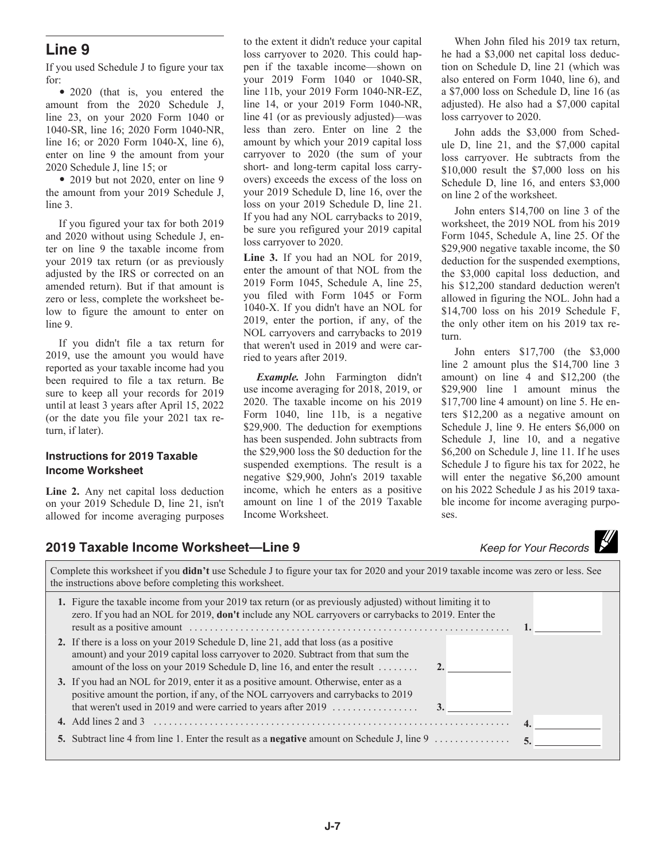If you used Schedule J to figure your tax for:

• 2020 (that is, you entered the amount from the 2020 Schedule J, line 23, on your 2020 Form 1040 or 1040-SR, line 16; 2020 Form 1040-NR, line 16; or 2020 Form 1040-X, line 6), enter on line 9 the amount from your 2020 Schedule J, line 15; or

• 2019 but not 2020, enter on line 9 the amount from your 2019 Schedule J, line 3.

If you figured your tax for both 2019 and 2020 without using Schedule J, enter on line 9 the taxable income from your 2019 tax return (or as previously adjusted by the IRS or corrected on an amended return). But if that amount is zero or less, complete the worksheet below to figure the amount to enter on line 9.

If you didn't file a tax return for 2019, use the amount you would have reported as your taxable income had you been required to file a tax return. Be sure to keep all your records for 2019 until at least 3 years after April 15, 2022 (or the date you file your 2021 tax return, if later).

#### **Instructions for 2019 Taxable Income Worksheet**

**Line 2.** Any net capital loss deduction on your 2019 Schedule D, line 21, isn't allowed for income averaging purposes

to the extent it didn't reduce your capital loss carryover to 2020. This could happen if the taxable income—shown on your 2019 Form 1040 or 1040-SR, line 11b, your 2019 Form 1040-NR-EZ, line 14, or your 2019 Form 1040-NR, line 41 (or as previously adjusted)—was less than zero. Enter on line 2 the amount by which your 2019 capital loss carryover to 2020 (the sum of your short- and long-term capital loss carryovers) exceeds the excess of the loss on your 2019 Schedule D, line 16, over the loss on your 2019 Schedule D, line 21. If you had any NOL carrybacks to 2019, be sure you refigured your 2019 capital loss carryover to 2020.

**Line 3.** If you had an NOL for 2019, enter the amount of that NOL from the 2019 Form 1045, Schedule A, line 25, you filed with Form 1045 or Form 1040-X. If you didn't have an NOL for 2019, enter the portion, if any, of the NOL carryovers and carrybacks to 2019 that weren't used in 2019 and were carried to years after 2019.

*Example.* John Farmington didn't use income averaging for 2018, 2019, or 2020. The taxable income on his 2019 Form 1040, line 11b, is a negative \$29,900. The deduction for exemptions has been suspended. John subtracts from the \$29,900 loss the \$0 deduction for the suspended exemptions. The result is a negative \$29,900, John's 2019 taxable income, which he enters as a positive amount on line 1 of the 2019 Taxable Income Worksheet.

When John filed his 2019 tax return, he had a \$3,000 net capital loss deduction on Schedule D, line 21 (which was also entered on Form 1040, line 6), and a \$7,000 loss on Schedule D, line 16 (as adjusted). He also had a \$7,000 capital loss carryover to 2020.

John adds the \$3,000 from Schedule D, line 21, and the \$7,000 capital loss carryover. He subtracts from the \$10,000 result the \$7,000 loss on his Schedule D, line 16, and enters \$3,000 on line 2 of the worksheet.

John enters \$14,700 on line 3 of the worksheet, the 2019 NOL from his 2019 Form 1045, Schedule A, line 25. Of the \$29,900 negative taxable income, the \$0 deduction for the suspended exemptions, the \$3,000 capital loss deduction, and his \$12,200 standard deduction weren't allowed in figuring the NOL. John had a \$14,700 loss on his 2019 Schedule F, the only other item on his 2019 tax return.

John enters \$17,700 (the \$3,000 line 2 amount plus the \$14,700 line 3 amount) on line 4 and \$12,200 (the \$29,900 line 1 amount minus the \$17,700 line 4 amount) on line 5. He enters \$12,200 as a negative amount on Schedule J, line 9. He enters \$6,000 on Schedule J, line 10, and a negative \$6,200 on Schedule J, line 11. If he uses Schedule J to figure his tax for 2022, he will enter the negative \$6,200 amount on his 2022 Schedule J as his 2019 taxable income for income averaging purposes.

## **2019 Taxable Income Worksheet—Line 9** *Keep for Your Records*

the instructions above before completing this worksheet.

Complete this worksheet if you **didn't** use Schedule J to figure your tax for 2020 and your 2019 taxable income was zero or less. See

| the modulums above before completing this worksheet.                                                                                                                                                                                                                |  |
|---------------------------------------------------------------------------------------------------------------------------------------------------------------------------------------------------------------------------------------------------------------------|--|
| 1. Figure the taxable income from your 2019 tax return (or as previously adjusted) without limiting it to<br>zero. If you had an NOL for 2019, <b>don't</b> include any NOL carryovers or carrybacks to 2019. Enter the                                             |  |
| 2. If there is a loss on your 2019 Schedule D, line 21, add that loss (as a positive<br>amount) and your 2019 capital loss carryover to 2020. Subtract from that sum the<br>amount of the loss on your 2019 Schedule D, line 16, and enter the result $\dots \dots$ |  |
| 3. If you had an NOL for 2019, enter it as a positive amount. Otherwise, enter as a<br>positive amount the portion, if any, of the NOL carryovers and carrybacks to 2019                                                                                            |  |
| 4. Add lines 2 and 3                                                                                                                                                                                                                                                |  |
| 5. Subtract line 4 from line 1. Enter the result as a <b>negative</b> amount on Schedule J, line $9$                                                                                                                                                                |  |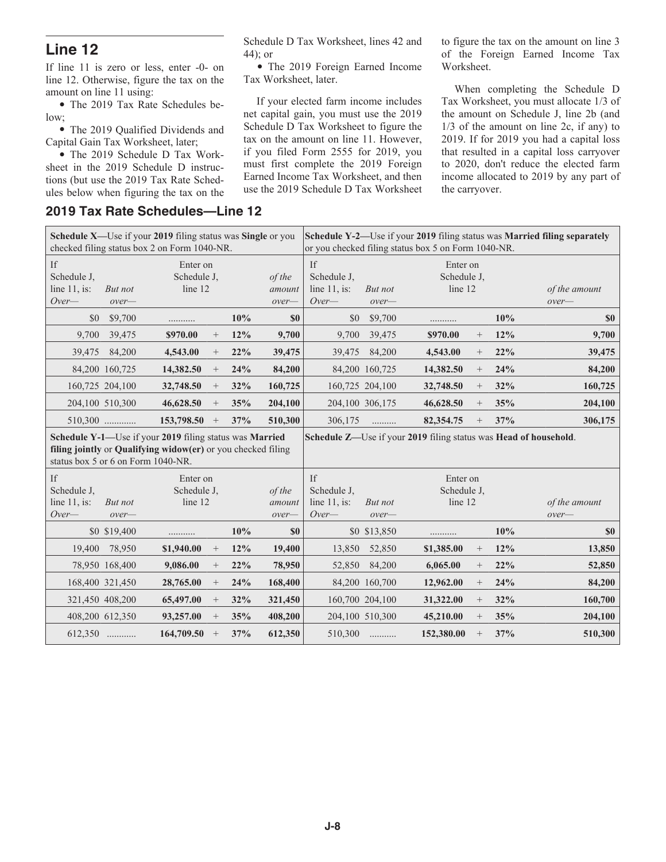If line 11 is zero or less, enter -0- on line 12. Otherwise, figure the tax on the amount on line 11 using:

• The 2019 Tax Rate Schedules below;

• The 2019 Oualified Dividends and Capital Gain Tax Worksheet, later;

• The 2019 Schedule D Tax Worksheet in the 2019 Schedule D instructions (but use the 2019 Tax Rate Schedules below when figuring the tax on the

#### **2019 Tax Rate Schedules—Line 12**

Schedule D Tax Worksheet, lines 42 and 44); or

• The 2019 Foreign Earned Income Tax Worksheet, later.

If your elected farm income includes net capital gain, you must use the 2019 Schedule D Tax Worksheet to figure the tax on the amount on line 11. However, if you filed Form 2555 for 2019, you must first complete the 2019 Foreign Earned Income Tax Worksheet, and then use the 2019 Schedule D Tax Worksheet to figure the tax on the amount on line 3 of the Foreign Earned Income Tax Worksheet.

When completing the Schedule D Tax Worksheet, you must allocate 1/3 of the amount on Schedule J, line 2b (and 1/3 of the amount on line 2c, if any) to 2019. If for 2019 you had a capital loss that resulted in a capital loss carryover to 2020, don't reduce the elected farm income allocated to 2019 by any part of the carryover.

|                                                        |                    | <b>Schedule X—Use</b> if your 2019 filing status was <b>Single</b> or you<br>checked filing status box 2 on Form 1040-NR. |                  |        |                           |                                                        |                    | or you checked filing status box 5 on Form 1040-NR.              |                   |        | Schedule Y-2—Use if your 2019 filing status was Married filing separately |
|--------------------------------------------------------|--------------------|---------------------------------------------------------------------------------------------------------------------------|------------------|--------|---------------------------|--------------------------------------------------------|--------------------|------------------------------------------------------------------|-------------------|--------|---------------------------------------------------------------------------|
| <b>If</b><br>Schedule J,<br>line $11$ , is:<br>$Over-$ | But not<br>$over-$ | Enter on<br>Schedule J,<br>line 12                                                                                        |                  |        | of the<br>amount<br>over- | If<br>Schedule J,<br>line $11$ , is:<br>$Over-$        | But not<br>$over-$ | Enter on<br>Schedule J,<br>line 12                               |                   |        | of the amount<br>$over-$                                                  |
| \$0                                                    | \$9,700            | .                                                                                                                         |                  | 10%    | \$0                       | $\$0$                                                  | \$9,700            | .                                                                |                   | 10%    | \$0                                                                       |
| 9,700                                                  | 39,475             | \$970.00                                                                                                                  | $^+$             | 12%    | 9,700                     |                                                        | 9,700 39,475       | \$970.00                                                         | $^+$              | 12%    | 9,700                                                                     |
| 39,475                                                 | 84,200             | 4,543.00                                                                                                                  | $^+$             | 22%    | 39,475                    | 39,475                                                 | 84,200             | 4,543.00                                                         | $^+$              | 22%    | 39,475                                                                    |
|                                                        | 84,200 160,725     | 14,382.50                                                                                                                 | $\boldsymbol{+}$ | 24%    | 84,200                    |                                                        | 84,200 160,725     | 14,382.50                                                        | $^+$              | 24%    | 84,200                                                                    |
|                                                        | 160,725 204,100    | 32,748.50                                                                                                                 | $\boldsymbol{+}$ | 32%    | 160,725                   |                                                        | 160,725 204,100    | 32,748.50                                                        | $^+$              | 32%    | 160,725                                                                   |
|                                                        | 204,100 510,300    | 46,628.50                                                                                                                 | $\, +$           | 35%    | 204,100                   |                                                        | 204,100 306,175    | 46,628.50                                                        | $\qquad \qquad +$ | 35%    | 204,100                                                                   |
|                                                        | $510,300$          | 153,798.50                                                                                                                | $+$              | 37%    | 510,300                   | 306,175                                                | $\dots\dots\dots$  | 82,354.75                                                        | $^+$              | 37%    | 306,175                                                                   |
| status box 5 or 6 on Form 1040-NR.                     |                    | Schedule Y-1-Use if your 2019 filing status was Married<br>filing jointly or Qualifying widow(er) or you checked filing   |                  |        |                           |                                                        |                    | Schedule Z—Use if your 2019 filing status was Head of household. |                   |        |                                                                           |
| If<br>Schedule J.<br>line $11$ , is:<br>$Over-$        | But not<br>over-   | Enter on<br>Schedule J,<br>line 12                                                                                        |                  |        | of the<br>amount<br>over- | <b>If</b><br>Schedule J.<br>line $11$ , is:<br>$Over-$ | But not<br>$over-$ | Enter on<br>Schedule J,<br>line 12                               |                   |        | of the amount<br>$over-$                                                  |
|                                                        | \$0 \$19,400       | .                                                                                                                         |                  | $10\%$ | <b>\$0</b>                |                                                        | \$0 \$13,850       | .                                                                |                   | $10\%$ | \$0                                                                       |
|                                                        | 19,400 78,950      | \$1,940.00                                                                                                                | $\boldsymbol{+}$ | 12%    | 19,400                    |                                                        | 13,850 52,850      | \$1,385.00                                                       | $^+$              | 12%    | 13,850                                                                    |
|                                                        | 78,950 168,400     | 9,086.00                                                                                                                  | $\boldsymbol{+}$ | 22%    | 78,950                    |                                                        | 52,850 84,200      | 6,065.00                                                         | $\! + \!\!\!\!$   | 22%    | 52,850                                                                    |
|                                                        | 168,400 321,450    | 28,765.00                                                                                                                 | $^+$             | 24%    | 168,400                   |                                                        | 84,200 160,700     | 12,962.00                                                        | $\qquad \qquad +$ | 24%    | 84,200                                                                    |
|                                                        | 321,450 408,200    | 65,497.00                                                                                                                 | $\boldsymbol{+}$ | 32%    | 321,450                   |                                                        | 160,700 204,100    | 31,322.00                                                        | $\! + \!\!\!\!$   | 32%    | 160,700                                                                   |
|                                                        | 408,200 612,350    | 93,257.00                                                                                                                 | $^+$             | 35%    | 408,200                   |                                                        | 204,100 510,300    | 45,210.00                                                        | $^{+}$            | 35%    | 204,100                                                                   |
|                                                        | $612,350$          | 164,709.50                                                                                                                | $\,+\,$          | 37%    | 612,350                   |                                                        | 510,300            | 152,380.00                                                       |                   | 37%    | 510,300                                                                   |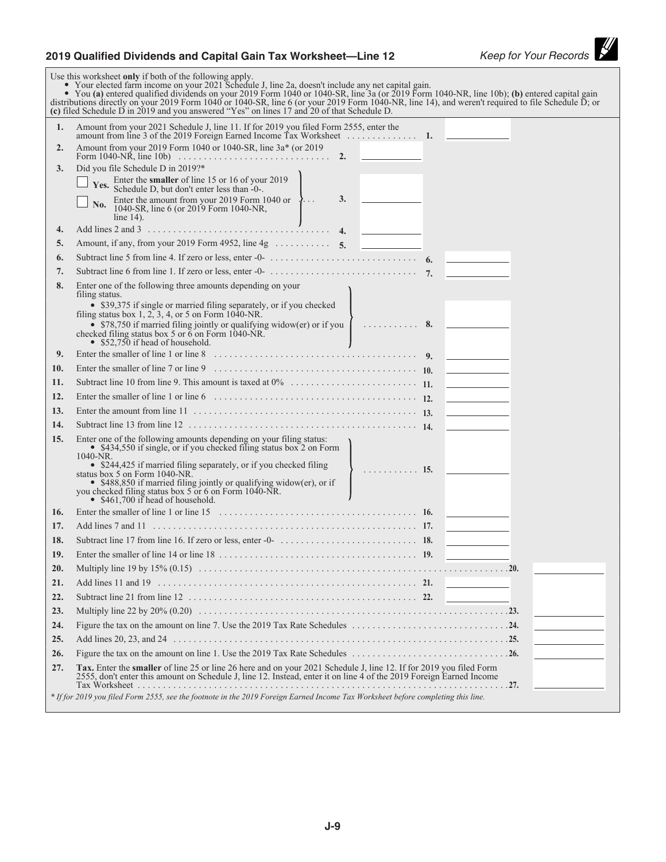# **2019 Qualified Dividends and Capital Gain Tax Worksheet—Line 12** *Keep for Your Records*

|     | Use this worksheet only if both of the following apply.<br>• Your elected farm income on your 2021 Schedule J, line 2a, doesn't include any net capital gain.<br>• You (a) entered qualified dividends on your 2019 Form 1040 or 1040-SR, line 3a (or 2019 Form 1040-NR, line 10b); (b) entered capital gain<br>distributions directly on your 2019 Form 1040 or 1040-SR, line 6 (or your 2019 Form 1040-NR, line 14), and weren't required to file Schedule D; or<br>(c) filed Schedule D in 2019 and you answered "Yes" on lines 17 and 20 of that Schedule D. |
|-----|------------------------------------------------------------------------------------------------------------------------------------------------------------------------------------------------------------------------------------------------------------------------------------------------------------------------------------------------------------------------------------------------------------------------------------------------------------------------------------------------------------------------------------------------------------------|
| 1.  | Amount from your 2021 Schedule J, line 11. If for 2019 you filed Form 2555, enter the                                                                                                                                                                                                                                                                                                                                                                                                                                                                            |
| 2.  | Amount from your 2019 Form 1040 or 1040-SR, line 3a* (or 2019)                                                                                                                                                                                                                                                                                                                                                                                                                                                                                                   |
| 3.  | Did you file Schedule D in 2019?*                                                                                                                                                                                                                                                                                                                                                                                                                                                                                                                                |
|     | Yes. Enter the <b>smaller</b> of line 15 or 16 of your 2019<br>Schedule D, but don't enter less than -0-.                                                                                                                                                                                                                                                                                                                                                                                                                                                        |
|     | Enter the amount from your 2019 Form 1040 or $\cdot$ .<br>3.<br>No. 1040-SR, line 6 (or 2019 Form 1040-NR,                                                                                                                                                                                                                                                                                                                                                                                                                                                       |
|     | line $14$ ).                                                                                                                                                                                                                                                                                                                                                                                                                                                                                                                                                     |
| 4.  |                                                                                                                                                                                                                                                                                                                                                                                                                                                                                                                                                                  |
| 5.  |                                                                                                                                                                                                                                                                                                                                                                                                                                                                                                                                                                  |
| 6.  |                                                                                                                                                                                                                                                                                                                                                                                                                                                                                                                                                                  |
| 7.  |                                                                                                                                                                                                                                                                                                                                                                                                                                                                                                                                                                  |
| 8.  | Enter one of the following three amounts depending on your<br>filing status.                                                                                                                                                                                                                                                                                                                                                                                                                                                                                     |
|     | • \$39,375 if single or married filing separately, or if you checked<br>filing status box $1, 2, 3, 4$ , or 5 on Form 1040-NR.                                                                                                                                                                                                                                                                                                                                                                                                                                   |
|     | • \$78,750 if married filing jointly or qualifying widow(er) or if you $\left\{\n\begin{array}{c}\n\dots \\ \dots \\ \end{array}\n\right\}$ .<br>• $$52,750$ if head of household.                                                                                                                                                                                                                                                                                                                                                                               |
| 9.  |                                                                                                                                                                                                                                                                                                                                                                                                                                                                                                                                                                  |
| 10. | <u> 1990 - Jan Barbara Barat, p</u>                                                                                                                                                                                                                                                                                                                                                                                                                                                                                                                              |
| 11. |                                                                                                                                                                                                                                                                                                                                                                                                                                                                                                                                                                  |
| 12. | the control of the control of                                                                                                                                                                                                                                                                                                                                                                                                                                                                                                                                    |
| 13. |                                                                                                                                                                                                                                                                                                                                                                                                                                                                                                                                                                  |
| 14. |                                                                                                                                                                                                                                                                                                                                                                                                                                                                                                                                                                  |
| 15. | Enter one of the following amounts depending on your filing status:                                                                                                                                                                                                                                                                                                                                                                                                                                                                                              |
|     | • \$434,550 if single, or if you checked filing status box 2 on Form<br>$1040-NR$ .                                                                                                                                                                                                                                                                                                                                                                                                                                                                              |
|     | • \$244,425 if married filing separately, or if you checked filing                                                                                                                                                                                                                                                                                                                                                                                                                                                                                               |
|     | status box 5 on Form 1040-NR.                                                                                                                                                                                                                                                                                                                                                                                                                                                                                                                                    |
|     | • \$488,850 if married filing jointly or qualifying widow(er), or if you checked filing status box 5 or 6 on Form 1040-NR.<br>• \$461,700 if head of household.                                                                                                                                                                                                                                                                                                                                                                                                  |
| 16. |                                                                                                                                                                                                                                                                                                                                                                                                                                                                                                                                                                  |
| 17. |                                                                                                                                                                                                                                                                                                                                                                                                                                                                                                                                                                  |
| 18. | Subtract line 17 from line 16. If zero or less, enter -0-<br>18.                                                                                                                                                                                                                                                                                                                                                                                                                                                                                                 |
| 19. |                                                                                                                                                                                                                                                                                                                                                                                                                                                                                                                                                                  |
| 20. |                                                                                                                                                                                                                                                                                                                                                                                                                                                                                                                                                                  |
| 21. | Add lines 11 and 19 $\ldots$ $\ldots$ $\ldots$ $\ldots$ $\ldots$ $\ldots$ $\ldots$ $\ldots$ $\ldots$ $\ldots$ $\ldots$ $\ldots$ $\ldots$ $\ldots$ $\ldots$ $\ldots$ $\ldots$ $\ldots$ $\ldots$ $\ldots$ $\ldots$ $\ldots$ $\ldots$ $\ldots$                                                                                                                                                                                                                                                                                                                      |
| 22. |                                                                                                                                                                                                                                                                                                                                                                                                                                                                                                                                                                  |
| 23. |                                                                                                                                                                                                                                                                                                                                                                                                                                                                                                                                                                  |
| 24. | the company of the company of                                                                                                                                                                                                                                                                                                                                                                                                                                                                                                                                    |
| 25. | <u> 1989 - Johann Barnett, fransk kong</u>                                                                                                                                                                                                                                                                                                                                                                                                                                                                                                                       |
| 26. |                                                                                                                                                                                                                                                                                                                                                                                                                                                                                                                                                                  |
| 27. | Tax. Enter the smaller of line 25 or line 26 here and on your 2021 Schedule J, line 12. If for 2019 you filed Form<br>2555, don't enter this amount on Schedule J, line 12. Instead, enter it on line 4 of the 2019 Foreign Earned Income                                                                                                                                                                                                                                                                                                                        |
|     | * If for 2019 you filed Form 2555, see the footnote in the 2019 Foreign Earned Income Tax Worksheet before completing this line.                                                                                                                                                                                                                                                                                                                                                                                                                                 |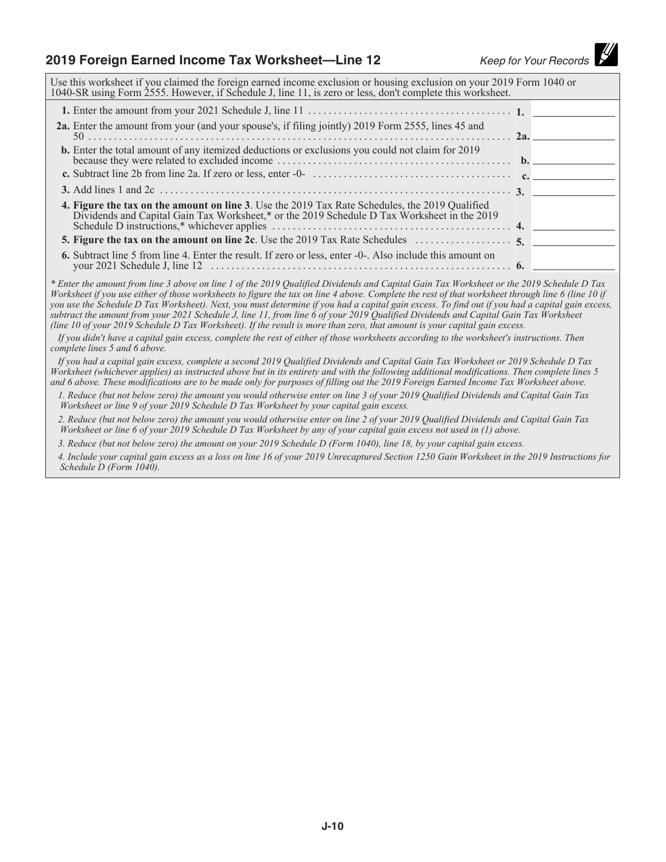### **2019 Foreign Earned Income Tax Worksheet—Line 12** *Keep for Your Records*

| Use this worksheet if you claimed the foreign earned income exclusion or housing exclusion on your 2019 Form 1040 or 1040-SR using Form 2555. However, if Schedule J, line 11, is zero or less, don't complete this worksheet. |  |
|--------------------------------------------------------------------------------------------------------------------------------------------------------------------------------------------------------------------------------|--|
|                                                                                                                                                                                                                                |  |
| 2a. Enter the amount from your (and your spouse's, if filing jointly) 2019 Form 2555, lines 45 and                                                                                                                             |  |
| <b>b.</b> Enter the total amount of any itemized deductions or exclusions you could not claim for 2019                                                                                                                         |  |
| c. Subtract line 2b from line 2a. If zero or less, enter $-0$ $\ldots$ $\ldots$ $\ldots$ $\ldots$ $\ldots$ $\ldots$ $\ldots$ $\ldots$ $\ldots$ $\ldots$                                                                        |  |
|                                                                                                                                                                                                                                |  |
| 4. Figure the tax on the amount on line 3. Use the 2019 Tax Rate Schedules, the 2019 Qualified<br>Dividends and Capital Gain Tax Worksheet,* or the 2019 Schedule D Tax Worksheet in the 2019                                  |  |
|                                                                                                                                                                                                                                |  |
| <b>6.</b> Subtract line 5 from line 4. Enter the result. If zero or less, enter -0-. Also include this amount on                                                                                                               |  |

*\* Enter the amount from line 3 above on line 1 of the 2019 Qualified Dividends and Capital Gain Tax Worksheet or the 2019 Schedule D Tax Worksheet if you use either of those worksheets to figure the tax on line 4 above. Complete the rest of that worksheet through line 6 (line 10 if you use the Schedule D Tax Worksheet). Next, you must determine if you had a capital gain excess. To find out if you had a capital gain excess, subtract the amount from your 2021 Schedule J, line 11, from line 6 of your 2019 Qualified Dividends and Capital Gain Tax Worksheet (line 10 of your 2019 Schedule D Tax Worksheet). If the result is more than zero, that amount is your capital gain excess.*

*If you didn't have a capital gain excess, complete the rest of either of those worksheets according to the worksheet's instructions. Then complete lines 5 and 6 above.*

*If you had a capital gain excess, complete a second 2019 Qualified Dividends and Capital Gain Tax Worksheet or 2019 Schedule D Tax Worksheet (whichever applies) as instructed above but in its entirety and with the following additional modifications. Then complete lines 5 and 6 above. These modifications are to be made only for purposes of filling out the 2019 Foreign Earned Income Tax Worksheet above.*

*1. Reduce (but not below zero) the amount you would otherwise enter on line 3 of your 2019 Qualified Dividends and Capital Gain Tax Worksheet or line 9 of your 2019 Schedule D Tax Worksheet by your capital gain excess.* 

*2. Reduce (but not below zero) the amount you would otherwise enter on line 2 of your 2019 Qualified Dividends and Capital Gain Tax Worksheet or line 6 of your 2019 Schedule D Tax Worksheet by any of your capital gain excess not used in (1) above.*

*3. Reduce (but not below zero) the amount on your 2019 Schedule D (Form 1040), line 18, by your capital gain excess.*

*4. Include your capital gain excess as a loss on line 16 of your 2019 Unrecaptured Section 1250 Gain Worksheet in the 2019 Instructions for Schedule D (Form 1040).*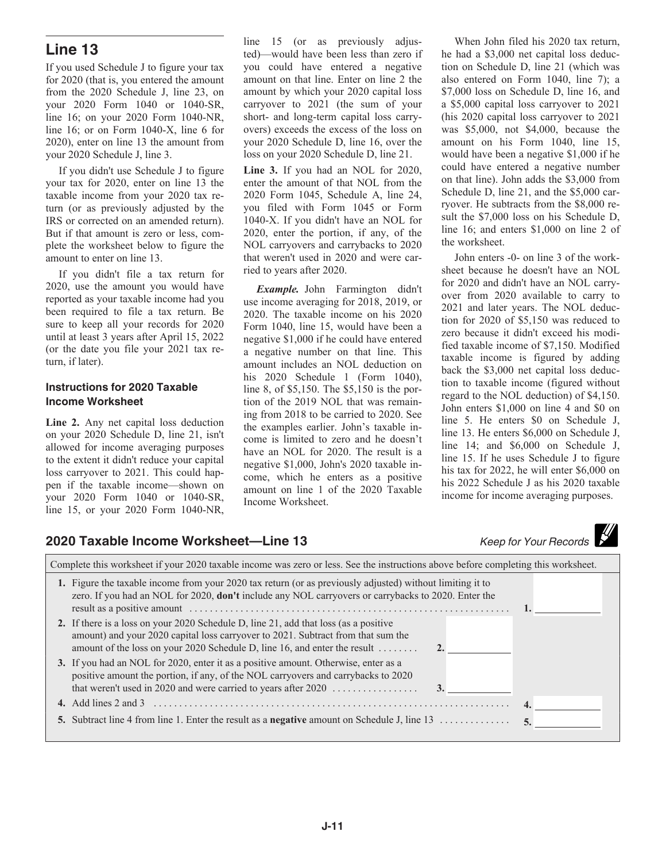If you used Schedule J to figure your tax for 2020 (that is, you entered the amount from the 2020 Schedule J, line 23, on your 2020 Form 1040 or 1040-SR, line 16; on your 2020 Form 1040-NR, line 16; or on Form 1040-X, line 6 for 2020), enter on line 13 the amount from your 2020 Schedule J, line 3.

If you didn't use Schedule J to figure your tax for 2020, enter on line 13 the taxable income from your 2020 tax return (or as previously adjusted by the IRS or corrected on an amended return). But if that amount is zero or less, complete the worksheet below to figure the amount to enter on line 13.

If you didn't file a tax return for 2020, use the amount you would have reported as your taxable income had you been required to file a tax return. Be sure to keep all your records for 2020 until at least 3 years after April 15, 2022 (or the date you file your 2021 tax return, if later).

#### **Instructions for 2020 Taxable Income Worksheet**

**Line 2.** Any net capital loss deduction on your 2020 Schedule D, line 21, isn't allowed for income averaging purposes to the extent it didn't reduce your capital loss carryover to 2021. This could happen if the taxable income—shown on your 2020 Form 1040 or 1040-SR, line 15, or your 2020 Form 1040-NR,

line 15 (or as previously adjusted)—would have been less than zero if you could have entered a negative amount on that line. Enter on line 2 the amount by which your 2020 capital loss carryover to 2021 (the sum of your short- and long-term capital loss carryovers) exceeds the excess of the loss on your 2020 Schedule D, line 16, over the loss on your 2020 Schedule D, line 21.

**Line 3.** If you had an NOL for 2020, enter the amount of that NOL from the 2020 Form 1045, Schedule A, line 24, you filed with Form 1045 or Form 1040-X. If you didn't have an NOL for 2020, enter the portion, if any, of the NOL carryovers and carrybacks to 2020 that weren't used in 2020 and were carried to years after 2020.

*Example.* John Farmington didn't use income averaging for 2018, 2019, or 2020. The taxable income on his 2020 Form 1040, line 15, would have been a negative \$1,000 if he could have entered a negative number on that line. This amount includes an NOL deduction on his 2020 Schedule 1 (Form 1040), line 8, of \$5,150. The \$5,150 is the portion of the 2019 NOL that was remaining from 2018 to be carried to 2020. See the examples earlier. John's taxable income is limited to zero and he doesn't have an NOL for 2020. The result is a negative \$1,000, John's 2020 taxable income, which he enters as a positive amount on line 1 of the 2020 Taxable Income Worksheet.

When John filed his 2020 tax return, he had a \$3,000 net capital loss deduction on Schedule D, line 21 (which was also entered on Form 1040, line 7); a \$7,000 loss on Schedule D, line 16, and a \$5,000 capital loss carryover to 2021 (his 2020 capital loss carryover to 2021 was \$5,000, not \$4,000, because the amount on his Form 1040, line 15, would have been a negative \$1,000 if he could have entered a negative number on that line). John adds the \$3,000 from Schedule D, line 21, and the \$5,000 carryover. He subtracts from the \$8,000 result the \$7,000 loss on his Schedule D, line 16; and enters \$1,000 on line 2 of the worksheet.

John enters -0- on line 3 of the worksheet because he doesn't have an NOL for 2020 and didn't have an NOL carryover from 2020 available to carry to 2021 and later years. The NOL deduction for 2020 of \$5,150 was reduced to zero because it didn't exceed his modified taxable income of \$7,150. Modified taxable income is figured by adding back the \$3,000 net capital loss deduction to taxable income (figured without regard to the NOL deduction) of \$4,150. John enters \$1,000 on line 4 and \$0 on line 5. He enters \$0 on Schedule J, line 13. He enters \$6,000 on Schedule J, line 14; and \$6,000 on Schedule J, line 15. If he uses Schedule J to figure his tax for 2022, he will enter \$6,000 on his 2022 Schedule J as his 2020 taxable income for income averaging purposes.

## **2020 Taxable Income Worksheet—Line 13** *Keep for Your Records*

| Complete this worksheet if your 2020 taxable income was zero or less. See the instructions above before completing this worksheet.                                                                                                                    |  |  |  |  |  |
|-------------------------------------------------------------------------------------------------------------------------------------------------------------------------------------------------------------------------------------------------------|--|--|--|--|--|
| 1. Figure the taxable income from your 2020 tax return (or as previously adjusted) without limiting it to<br>zero. If you had an NOL for 2020, <b>don't</b> include any NOL carryovers or carrybacks to 2020. Enter the                               |  |  |  |  |  |
| 2. If there is a loss on your 2020 Schedule D, line 21, add that loss (as a positive<br>amount) and your 2020 capital loss carryover to 2021. Subtract from that sum the<br>amount of the loss on your 2020 Schedule D, line 16, and enter the result |  |  |  |  |  |
| 3. If you had an NOL for 2020, enter it as a positive amount. Otherwise, enter as a<br>positive amount the portion, if any, of the NOL carryovers and carrybacks to 2020<br>that weren't used in 2020 and were carried to years after $2020$          |  |  |  |  |  |
| 4. Add lines 2 and 3                                                                                                                                                                                                                                  |  |  |  |  |  |
| 5. Subtract line 4 from line 1. Enter the result as a <b>negative</b> amount on Schedule J, line $13$                                                                                                                                                 |  |  |  |  |  |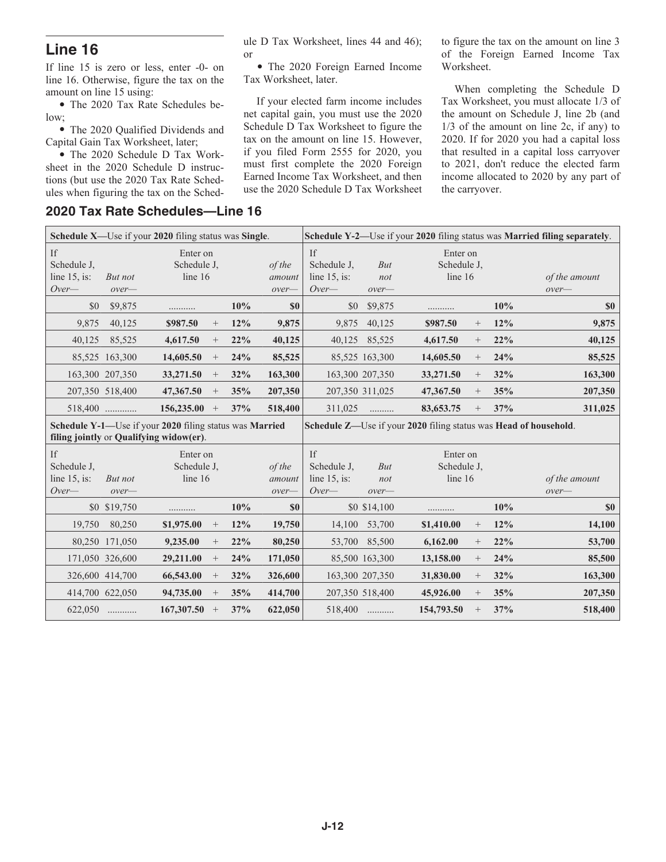If line 15 is zero or less, enter -0- on line 16. Otherwise, figure the tax on the amount on line 15 using:

• The 2020 Tax Rate Schedules below;

• The 2020 Oualified Dividends and Capital Gain Tax Worksheet, later;

• The 2020 Schedule D Tax Worksheet in the 2020 Schedule D instructions (but use the 2020 Tax Rate Schedules when figuring the tax on the Sched-

#### **2020 Tax Rate Schedules—Line 16**

ule D Tax Worksheet, lines 44 and 46); or

• The 2020 Foreign Earned Income Tax Worksheet, later.

If your elected farm income includes net capital gain, you must use the 2020 Schedule D Tax Worksheet to figure the tax on the amount on line 15. However, if you filed Form 2555 for 2020, you must first complete the 2020 Foreign Earned Income Tax Worksheet, and then use the 2020 Schedule D Tax Worksheet to figure the tax on the amount on line 3 of the Foreign Earned Income Tax Worksheet.

When completing the Schedule D Tax Worksheet, you must allocate 1/3 of the amount on Schedule J, line 2b (and 1/3 of the amount on line 2c, if any) to 2020. If for 2020 you had a capital loss that resulted in a capital loss carryover to 2021, don't reduce the elected farm income allocated to 2020 by any part of the carryover.

|                                                         |                 | Schedule X-Use if your 2020 filing status was Single. |                   |     |         |                                                                  |                 |             |                   |     | Schedule Y-2—Use if your 2020 filing status was Married filing separately. |
|---------------------------------------------------------|-----------------|-------------------------------------------------------|-------------------|-----|---------|------------------------------------------------------------------|-----------------|-------------|-------------------|-----|----------------------------------------------------------------------------|
|                                                         |                 |                                                       |                   |     |         |                                                                  |                 |             |                   |     |                                                                            |
| If                                                      |                 | Enter on                                              |                   |     |         | If                                                               |                 | Enter on    |                   |     |                                                                            |
| Schedule J,                                             |                 | Schedule J,                                           |                   |     | of the  | Schedule J,                                                      | But             | Schedule J, |                   |     |                                                                            |
| line $15$ , is:                                         | But not         | line 16                                               |                   |     | amount  | line $15$ , is:                                                  | not             | line 16     |                   |     | of the amount                                                              |
| $Over-$                                                 | over-           |                                                       |                   |     | over-   | $Over-$                                                          | $over-$         |             |                   |     | $over-$                                                                    |
| \$0                                                     | \$9,875         | .                                                     |                   | 10% | \$0     | \$0                                                              | \$9,875         | .           |                   | 10% | \$0                                                                        |
| 9,875                                                   | 40,125          | \$987.50                                              | $\qquad \qquad +$ | 12% | 9,875   | 9,875                                                            | 40,125          | \$987.50    | $^{+}$            | 12% | 9,875                                                                      |
| 40,125                                                  | 85,525          | 4,617.50                                              | $^+$              | 22% | 40,125  |                                                                  | 40,125 85,525   | 4,617.50    | $\! + \!\!\!\!$   | 22% | 40,125                                                                     |
|                                                         | 85,525 163,300  | 14,605.50                                             | $\qquad \qquad +$ | 24% | 85,525  |                                                                  | 85,525 163,300  | 14,605.50   | $\! + \!\!\!\!$   | 24% | 85,525                                                                     |
|                                                         | 163,300 207,350 | 33,271.50                                             | $^+$              | 32% | 163,300 |                                                                  | 163,300 207,350 | 33,271.50   | $\! + \!\!\!\!$   | 32% | 163,300                                                                    |
|                                                         | 207,350 518,400 | 47,367.50                                             | $\qquad \qquad +$ | 35% | 207,350 | 207,350 311,025                                                  |                 | 47,367.50   | $^{+}$            | 35% | 207,350                                                                    |
|                                                         | $518,400$       | 156,235.00                                            | $\,+\,$           | 37% | 518,400 | 311,025                                                          | .               | 83,653.75   | $+$               | 37% | 311,025                                                                    |
| Schedule Y-1—Use if your 2020 filing status was Married |                 |                                                       |                   |     |         | Schedule Z—Use if your 2020 filing status was Head of household. |                 |             |                   |     |                                                                            |
| filing jointly or Qualifying widow(er).                 |                 |                                                       |                   |     |         |                                                                  |                 |             |                   |     |                                                                            |
| <b>If</b>                                               |                 | Enter on                                              |                   |     |         | If                                                               |                 | Enter on    |                   |     |                                                                            |
| Schedule J,                                             |                 | Schedule J,                                           |                   |     | of the  | Schedule J,                                                      | But             | Schedule J, |                   |     |                                                                            |
| line $15$ , is:                                         | But not         | line 16                                               |                   |     | amount  | line $15$ , is:                                                  | not             | line 16     |                   |     | of the amount                                                              |
| $Over-$                                                 | over-           |                                                       |                   |     | over-   | $Over-$                                                          | $over-$         |             |                   |     | $over-$                                                                    |
|                                                         | \$0 \$19,750    | .                                                     |                   | 10% | \$0     |                                                                  | \$0 \$14,100    | .           |                   | 10% | <b>\$0</b>                                                                 |
| 19,750                                                  | 80,250          | \$1,975.00                                            |                   | 12% | 19,750  |                                                                  | 14,100 53,700   | \$1,410.00  | $\! + \!\!\!\!$   | 12% | 14,100                                                                     |
|                                                         | 80,250 171,050  | 9,235.00                                              | $\qquad \qquad +$ | 22% | 80,250  |                                                                  | 53,700 85,500   | 6,162.00    | $\! + \!\!\!\!$   | 22% | 53,700                                                                     |
|                                                         | 171,050 326,600 | 29,211.00                                             | $^+$              | 24% | 171,050 |                                                                  | 85,500 163,300  | 13,158.00   | $\! + \!\!\!\!$   | 24% | 85,500                                                                     |
|                                                         |                 | 66,543.00                                             | $^+$              | 32% | 326,600 |                                                                  | 163,300 207,350 | 31,830.00   | $\! + \!\!\!\!$   | 32% | 163,300                                                                    |
| 326,600 414,700                                         |                 |                                                       |                   |     |         |                                                                  |                 |             |                   |     |                                                                            |
|                                                         | 414,700 622,050 | 94,735.00                                             | $\boldsymbol{+}$  | 35% | 414,700 | 207,350 518,400                                                  |                 | 45,926.00   | $\qquad \qquad +$ | 35% | 207,350                                                                    |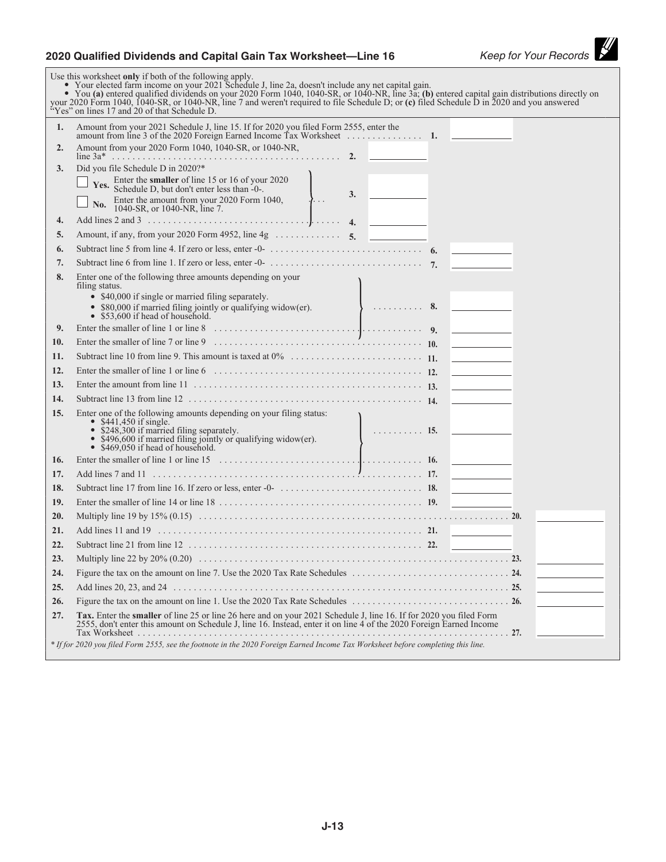#### **2020 Qualified Dividends and Capital Gain Tax Worksheet—Line 16** *Keep for Your Records*

| Keep for Your Records |  |
|-----------------------|--|
|                       |  |

|     | Use this worksheet only if both of the following apply.<br>• Your elected farm income on your 2021 Schedule J, line 2a, doesn't include any net capital gain.<br>• You (a) entered qualified dividends on your 2020 Form 1040, 1040-SR, or 1040-NR, line 3a; (b) entered capital gain distributions directly on<br>your 2020 Form 1040, 1040-SR, or 1040-NR, line 7 and weren't required to file Schedule D; or (c) filed Schedule D in 2020 and you answered<br>"Yes" on lines 17 and 20 of that Schedule D. |
|-----|---------------------------------------------------------------------------------------------------------------------------------------------------------------------------------------------------------------------------------------------------------------------------------------------------------------------------------------------------------------------------------------------------------------------------------------------------------------------------------------------------------------|
| 1.  | Amount from your 2021 Schedule J, line 15. If for 2020 you filed Form 2555, enter the                                                                                                                                                                                                                                                                                                                                                                                                                         |
| 2.  | Amount from your 2020 Form 1040, 1040-SR, or 1040-NR,                                                                                                                                                                                                                                                                                                                                                                                                                                                         |
| 3.  | Did you file Schedule D in 2020?*                                                                                                                                                                                                                                                                                                                                                                                                                                                                             |
|     | Yes. Enter the <b>smaller</b> of line 15 or 16 of your 2020<br>Schedule D, but don't enter less than -0-.                                                                                                                                                                                                                                                                                                                                                                                                     |
|     | 3.<br>Enter the amount from your 2020 Form 1040,<br>No. 1040-SR, or 1040-NR, line 7.                                                                                                                                                                                                                                                                                                                                                                                                                          |
| 4.  |                                                                                                                                                                                                                                                                                                                                                                                                                                                                                                               |
| 5.  |                                                                                                                                                                                                                                                                                                                                                                                                                                                                                                               |
| 6.  | Subtract line 5 from line 4. If zero or less, enter $-0$ -<br>Subtract line 6 from line 1. If zero with $\sim$                                                                                                                                                                                                                                                                                                                                                                                                |
| 7.  |                                                                                                                                                                                                                                                                                                                                                                                                                                                                                                               |
| 8.  | Enter one of the following three amounts depending on your<br>filing status.                                                                                                                                                                                                                                                                                                                                                                                                                                  |
|     | • \$40,000 if single or married filing separately.<br>• \$80,000 if married filing jointly or qualifying widow(er). 8.<br>• $$53,600$ if head of household.                                                                                                                                                                                                                                                                                                                                                   |
| 9.  | <u> The Community of the Community of the Community of the Community of the Community of the Community of the Community of the Community of the Community of the Community of the Community of the Community of the Community of</u>                                                                                                                                                                                                                                                                          |
| 10. |                                                                                                                                                                                                                                                                                                                                                                                                                                                                                                               |
| 11. |                                                                                                                                                                                                                                                                                                                                                                                                                                                                                                               |
| 12. | <u>and the state of the state</u>                                                                                                                                                                                                                                                                                                                                                                                                                                                                             |
| 13. | <u> Alban Alban a San A</u>                                                                                                                                                                                                                                                                                                                                                                                                                                                                                   |
| 14. |                                                                                                                                                                                                                                                                                                                                                                                                                                                                                                               |
| 15. | Enter one of the following amounts depending on your filing status:<br>• $$441,450$ if single.<br>• \$441,450 if single.<br>• \$248,300 if married filing separately.<br>• \$496,600 if married filing jointly or qualifying widow(er).<br>• \$469,050 if head of household.                                                                                                                                                                                                                                  |
| 16. |                                                                                                                                                                                                                                                                                                                                                                                                                                                                                                               |
| 17. | the company of the company                                                                                                                                                                                                                                                                                                                                                                                                                                                                                    |
| 18. | Subtract line 17 from line 16. If zero or less, enter $-0$ - $\ldots$ , $\ldots$ , $\ldots$ , $\ldots$ , $\ldots$ , 18.                                                                                                                                                                                                                                                                                                                                                                                       |
| 19. |                                                                                                                                                                                                                                                                                                                                                                                                                                                                                                               |
| 20. |                                                                                                                                                                                                                                                                                                                                                                                                                                                                                                               |
| 21. |                                                                                                                                                                                                                                                                                                                                                                                                                                                                                                               |
| 22. |                                                                                                                                                                                                                                                                                                                                                                                                                                                                                                               |
| 23. |                                                                                                                                                                                                                                                                                                                                                                                                                                                                                                               |
| 24. |                                                                                                                                                                                                                                                                                                                                                                                                                                                                                                               |
| 25. | <u> 1990 - Jan Alexandria (</u>                                                                                                                                                                                                                                                                                                                                                                                                                                                                               |
| 26. |                                                                                                                                                                                                                                                                                                                                                                                                                                                                                                               |
| 27. | Tax. Enter the smaller of line 25 or line 26 here and on your 2021 Schedule J, line 16. If for 2020 you filed Form<br>2555, don't enter this amount on Schedule J, line 16. Instead, enter it on line 4 of the 2020 Foreign Earned Income                                                                                                                                                                                                                                                                     |
|     | * If for 2020 you filed Form 2555, see the footnote in the 2020 Foreign Earned Income Tax Worksheet before completing this line.                                                                                                                                                                                                                                                                                                                                                                              |